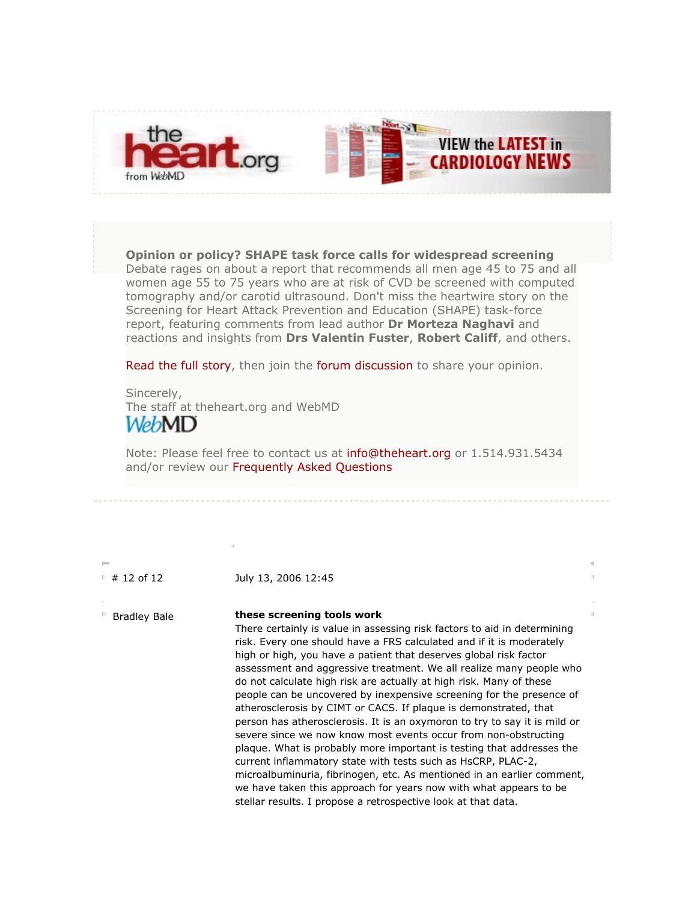

**Opinion or policy? SHAPE task force calls for widespread screening** Debate rages on about a report that recommends all men age 45 to 75 and all women age 55 to 75 years who are at risk of CVD be screened with computed tomography and/or carotid ultrasound. Don't miss the heartwire story on the Screening for Heart Attack Prevention and Education (SHAPE) task-force report, featuring comments from lead author **Dr Morteza Naghavi** and reactions and insights from **Drs Valentin Fuster**, **Robert Califf**, and others.

Read the full story, then join the forum discussion to share your opinion.

Sincerely, The staff at theheart.org and WebMD WebMD

Note: Please feel free to contact us at info@theheart.org or 1.514.931.5434 and/or review our Frequently Asked Questions

 $# 12$  of 12 July 13, 2006 12:45

Bradley Bale **these screening tools work**

There certainly is value in assessing risk factors to aid in determining risk. Every one should have a FRS calculated and if it is moderately high or high, you have a patient that deserves global risk factor assessment and aggressive treatment. We all realize many people who do not calculate high risk are actually at high risk. Many of these people can be uncovered by inexpensive screening for the presence of atherosclerosis by CIMT or CACS. If plaque is demonstrated, that person has atherosclerosis. It is an oxymoron to try to say it is mild or severe since we now know most events occur from non-obstructing plaque. What is probably more important is testing that addresses the current inflammatory state with tests such as HsCRP, PLAC-2, microalbuminuria, fibrinogen, etc. As mentioned in an earlier comment, we have taken this approach for years now with what appears to be stellar results. I propose a retrospective look at that data.

 $\bar{\rm M}$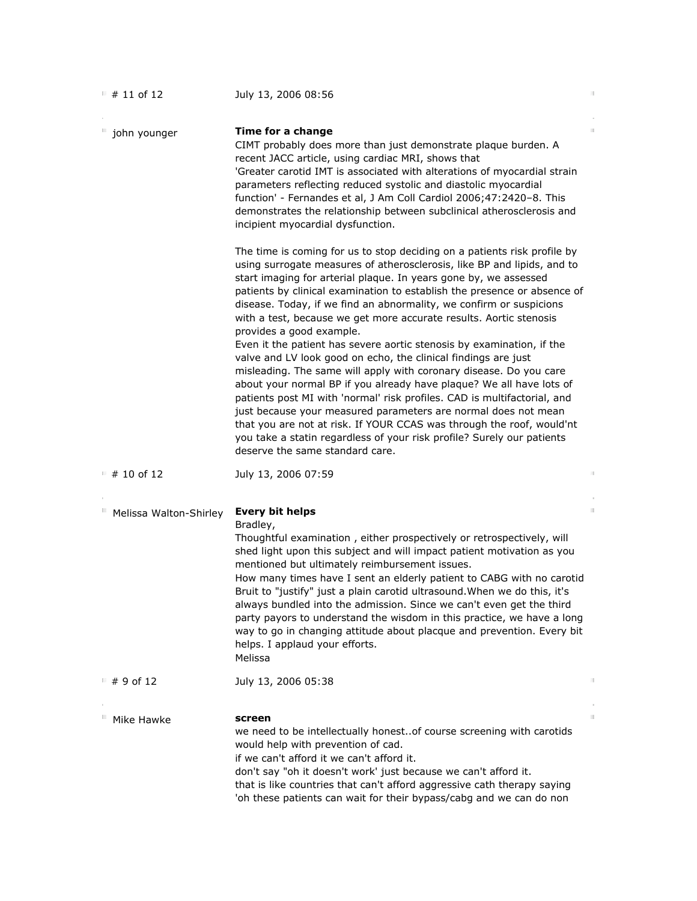| $# 11$ of 12           | July 13, 2006 08:56                                                                                                                                                                                                                                                                                                                                                                                                                                                                                                                                                                                                                                                                                                                                                                                                                                                                                                                                                                                                                                                                                       | 肝  |
|------------------------|-----------------------------------------------------------------------------------------------------------------------------------------------------------------------------------------------------------------------------------------------------------------------------------------------------------------------------------------------------------------------------------------------------------------------------------------------------------------------------------------------------------------------------------------------------------------------------------------------------------------------------------------------------------------------------------------------------------------------------------------------------------------------------------------------------------------------------------------------------------------------------------------------------------------------------------------------------------------------------------------------------------------------------------------------------------------------------------------------------------|----|
| john younger           | Time for a change<br>CIMT probably does more than just demonstrate plaque burden. A<br>recent JACC article, using cardiac MRI, shows that<br>'Greater carotid IMT is associated with alterations of myocardial strain<br>parameters reflecting reduced systolic and diastolic myocardial<br>function' - Fernandes et al, J Am Coll Cardiol 2006;47:2420-8. This<br>demonstrates the relationship between subclinical atherosclerosis and<br>incipient myocardial dysfunction.                                                                                                                                                                                                                                                                                                                                                                                                                                                                                                                                                                                                                             | 11 |
|                        | The time is coming for us to stop deciding on a patients risk profile by<br>using surrogate measures of atherosclerosis, like BP and lipids, and to<br>start imaging for arterial plaque. In years gone by, we assessed<br>patients by clinical examination to establish the presence or absence of<br>disease. Today, if we find an abnormality, we confirm or suspicions<br>with a test, because we get more accurate results. Aortic stenosis<br>provides a good example.<br>Even it the patient has severe aortic stenosis by examination, if the<br>valve and LV look good on echo, the clinical findings are just<br>misleading. The same will apply with coronary disease. Do you care<br>about your normal BP if you already have plaque? We all have lots of<br>patients post MI with 'normal' risk profiles. CAD is multifactorial, and<br>just because your measured parameters are normal does not mean<br>that you are not at risk. If YOUR CCAS was through the roof, would'nt<br>you take a statin regardless of your risk profile? Surely our patients<br>deserve the same standard care. |    |
| $# 10$ of 12           | July 13, 2006 07:59                                                                                                                                                                                                                                                                                                                                                                                                                                                                                                                                                                                                                                                                                                                                                                                                                                                                                                                                                                                                                                                                                       | 計  |
| Melissa Walton-Shirley | <b>Every bit helps</b><br>Bradley,<br>Thoughtful examination, either prospectively or retrospectively, will<br>shed light upon this subject and will impact patient motivation as you<br>mentioned but ultimately reimbursement issues.<br>How many times have I sent an elderly patient to CABG with no carotid<br>Bruit to "justify" just a plain carotid ultrasound. When we do this, it's<br>always bundled into the admission. Since we can't even get the third<br>party payors to understand the wisdom in this practice, we have a long<br>way to go in changing attitude about placque and prevention. Every bit<br>helps. I applaud your efforts.<br>Melissa                                                                                                                                                                                                                                                                                                                                                                                                                                    | H. |
| ⊪ #9 of 12             | July 13, 2006 05:38                                                                                                                                                                                                                                                                                                                                                                                                                                                                                                                                                                                                                                                                                                                                                                                                                                                                                                                                                                                                                                                                                       | 眉  |
| Mike Hawke             | screen<br>we need to be intellectually honest. of course screening with carotids<br>would help with prevention of cad.<br>if we can't afford it we can't afford it.<br>don't say "oh it doesn't work' just because we can't afford it.<br>that is like countries that can't afford aggressive cath therapy saying<br>'oh these patients can wait for their bypass/cabg and we can do non                                                                                                                                                                                                                                                                                                                                                                                                                                                                                                                                                                                                                                                                                                                  | H. |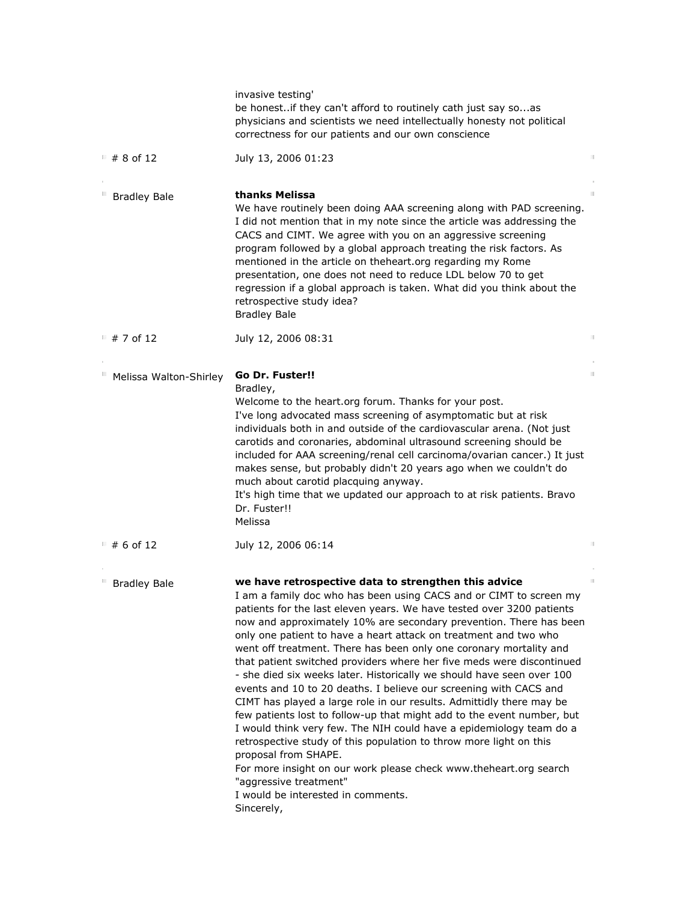|                        | invasive testing'<br>be honestif they can't afford to routinely cath just say soas<br>physicians and scientists we need intellectually honesty not political<br>correctness for our patients and our own conscience                                                                                                                                                                                                                                                                                                                                                                                                                                                                                                                                                                                                                                                                                                                                                                                                                                                                                                  |    |
|------------------------|----------------------------------------------------------------------------------------------------------------------------------------------------------------------------------------------------------------------------------------------------------------------------------------------------------------------------------------------------------------------------------------------------------------------------------------------------------------------------------------------------------------------------------------------------------------------------------------------------------------------------------------------------------------------------------------------------------------------------------------------------------------------------------------------------------------------------------------------------------------------------------------------------------------------------------------------------------------------------------------------------------------------------------------------------------------------------------------------------------------------|----|
| ■ # 8 of 12            | July 13, 2006 01:23                                                                                                                                                                                                                                                                                                                                                                                                                                                                                                                                                                                                                                                                                                                                                                                                                                                                                                                                                                                                                                                                                                  | 肝  |
| <b>Bradley Bale</b>    | thanks Melissa<br>We have routinely been doing AAA screening along with PAD screening.<br>I did not mention that in my note since the article was addressing the<br>CACS and CIMT. We agree with you on an aggressive screening<br>program followed by a global approach treating the risk factors. As<br>mentioned in the article on theheart.org regarding my Rome<br>presentation, one does not need to reduce LDL below 70 to get<br>regression if a global approach is taken. What did you think about the<br>retrospective study idea?<br><b>Bradley Bale</b>                                                                                                                                                                                                                                                                                                                                                                                                                                                                                                                                                  | H. |
| $\pm$ # 7 of 12        | July 12, 2006 08:31                                                                                                                                                                                                                                                                                                                                                                                                                                                                                                                                                                                                                                                                                                                                                                                                                                                                                                                                                                                                                                                                                                  | 計  |
| Melissa Walton-Shirley | Go Dr. Fuster!!<br>Bradley,<br>Welcome to the heart.org forum. Thanks for your post.<br>I've long advocated mass screening of asymptomatic but at risk<br>individuals both in and outside of the cardiovascular arena. (Not just<br>carotids and coronaries, abdominal ultrasound screening should be<br>included for AAA screening/renal cell carcinoma/ovarian cancer.) It just<br>makes sense, but probably didn't 20 years ago when we couldn't do<br>much about carotid placquing anyway.<br>It's high time that we updated our approach to at risk patients. Bravo<br>Dr. Fuster!!<br>Melissa                                                                                                                                                                                                                                                                                                                                                                                                                                                                                                                  | H. |
| $#6$ of 12             | July 12, 2006 06:14                                                                                                                                                                                                                                                                                                                                                                                                                                                                                                                                                                                                                                                                                                                                                                                                                                                                                                                                                                                                                                                                                                  | 計  |
| <b>Bradley Bale</b>    | we have retrospective data to strengthen this advice<br>I am a family doc who has been using CACS and or CIMT to screen my<br>patients for the last eleven years. We have tested over 3200 patients<br>now and approximately 10% are secondary prevention. There has been<br>only one patient to have a heart attack on treatment and two who<br>went off treatment. There has been only one coronary mortality and<br>that patient switched providers where her five meds were discontinued<br>- she died six weeks later. Historically we should have seen over 100<br>events and 10 to 20 deaths. I believe our screening with CACS and<br>CIMT has played a large role in our results. Admittidly there may be<br>few patients lost to follow-up that might add to the event number, but<br>I would think very few. The NIH could have a epidemiology team do a<br>retrospective study of this population to throw more light on this<br>proposal from SHAPE.<br>For more insight on our work please check www.theheart.org search<br>"aggressive treatment"<br>I would be interested in comments.<br>Sincerely, | H. |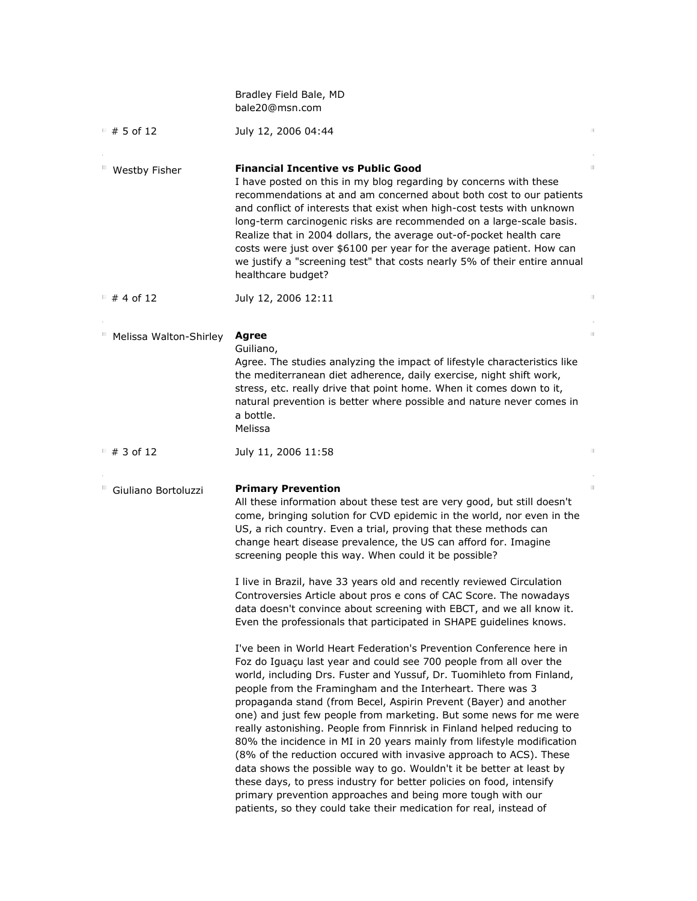|                        | Bradley Field Bale, MD<br>bale20@msn.com                                                                                                                                                                                                                                                                                                                                                                                                                                                                                                                                                                                                                                                                                                                                                                                                                                                                                                                                                                                                                                                                                                                                                                                                                                                                                                                                                                                                                                                                                                                                                                                   |    |
|------------------------|----------------------------------------------------------------------------------------------------------------------------------------------------------------------------------------------------------------------------------------------------------------------------------------------------------------------------------------------------------------------------------------------------------------------------------------------------------------------------------------------------------------------------------------------------------------------------------------------------------------------------------------------------------------------------------------------------------------------------------------------------------------------------------------------------------------------------------------------------------------------------------------------------------------------------------------------------------------------------------------------------------------------------------------------------------------------------------------------------------------------------------------------------------------------------------------------------------------------------------------------------------------------------------------------------------------------------------------------------------------------------------------------------------------------------------------------------------------------------------------------------------------------------------------------------------------------------------------------------------------------------|----|
| ■ # 5 of 12            | July 12, 2006 04:44                                                                                                                                                                                                                                                                                                                                                                                                                                                                                                                                                                                                                                                                                                                                                                                                                                                                                                                                                                                                                                                                                                                                                                                                                                                                                                                                                                                                                                                                                                                                                                                                        | 計  |
| Westby Fisher          | <b>Financial Incentive vs Public Good</b><br>I have posted on this in my blog regarding by concerns with these<br>recommendations at and am concerned about both cost to our patients<br>and conflict of interests that exist when high-cost tests with unknown<br>long-term carcinogenic risks are recommended on a large-scale basis.<br>Realize that in 2004 dollars, the average out-of-pocket health care<br>costs were just over \$6100 per year for the average patient. How can<br>we justify a "screening test" that costs nearly 5% of their entire annual<br>healthcare budget?                                                                                                                                                                                                                                                                                                                                                                                                                                                                                                                                                                                                                                                                                                                                                                                                                                                                                                                                                                                                                                 | 11 |
| ■ # 4 of 12            | July 12, 2006 12:11                                                                                                                                                                                                                                                                                                                                                                                                                                                                                                                                                                                                                                                                                                                                                                                                                                                                                                                                                                                                                                                                                                                                                                                                                                                                                                                                                                                                                                                                                                                                                                                                        | 計  |
| Melissa Walton-Shirley | Agree<br>Guiliano,<br>Agree. The studies analyzing the impact of lifestyle characteristics like<br>the mediterranean diet adherence, daily exercise, night shift work,<br>stress, etc. really drive that point home. When it comes down to it,<br>natural prevention is better where possible and nature never comes in<br>a bottle.<br>Melissa                                                                                                                                                                                                                                                                                                                                                                                                                                                                                                                                                                                                                                                                                                                                                                                                                                                                                                                                                                                                                                                                                                                                                                                                                                                                            | H. |
| ■ # 3 of 12            | July 11, 2006 11:58                                                                                                                                                                                                                                                                                                                                                                                                                                                                                                                                                                                                                                                                                                                                                                                                                                                                                                                                                                                                                                                                                                                                                                                                                                                                                                                                                                                                                                                                                                                                                                                                        | 計  |
| Giuliano Bortoluzzi    | <b>Primary Prevention</b><br>All these information about these test are very good, but still doesn't<br>come, bringing solution for CVD epidemic in the world, nor even in the<br>US, a rich country. Even a trial, proving that these methods can<br>change heart disease prevalence, the US can afford for. Imagine<br>screening people this way. When could it be possible?<br>I live in Brazil, have 33 years old and recently reviewed Circulation<br>Controversies Article about pros e cons of CAC Score. The nowadays<br>data doesn't convince about screening with EBCT, and we all know it.<br>Even the professionals that participated in SHAPE guidelines knows.<br>I've been in World Heart Federation's Prevention Conference here in<br>Foz do Iguaçu last year and could see 700 people from all over the<br>world, including Drs. Fuster and Yussuf, Dr. Tuomihleto from Finland,<br>people from the Framingham and the Interheart. There was 3<br>propaganda stand (from Becel, Aspirin Prevent (Bayer) and another<br>one) and just few people from marketing. But some news for me were<br>really astonishing. People from Finnrisk in Finland helped reducing to<br>80% the incidence in MI in 20 years mainly from lifestyle modification<br>(8% of the reduction occured with invasive approach to ACS). These<br>data shows the possible way to go. Wouldn't it be better at least by<br>these days, to press industry for better policies on food, intensify<br>primary prevention approaches and being more tough with our<br>patients, so they could take their medication for real, instead of | 11 |